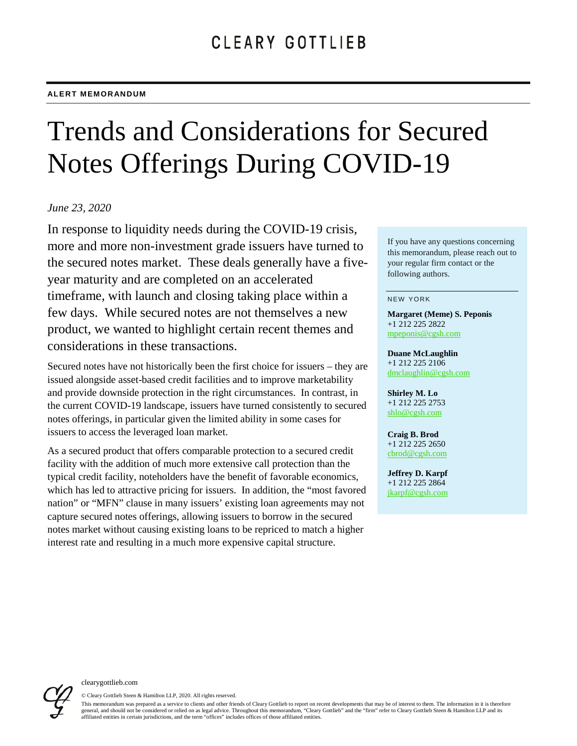# Trends and Considerations for Secured Notes Offerings During COVID-19

## *June 23, 2020*

In response to liquidity needs during the COVID-19 crisis, more and more non-investment grade issuers have turned to the secured notes market. These deals generally have a fiveyear maturity and are completed on an accelerated timeframe, with launch and closing taking place within a few days. While secured notes are not themselves a new product, we wanted to highlight certain recent themes and considerations in these transactions.

Secured notes have not historically been the first choice for issuers – they are issued alongside asset-based credit facilities and to improve marketability and provide downside protection in the right circumstances. In contrast, in the current COVID-19 landscape, issuers have turned consistently to secured notes offerings, in particular given the limited ability in some cases for issuers to access the leveraged loan market.

As a secured product that offers comparable protection to a secured credit facility with the addition of much more extensive call protection than the typical credit facility, noteholders have the benefit of favorable economics, which has led to attractive pricing for issuers. In addition, the "most favored nation" or "MFN" clause in many issuers' existing loan agreements may not capture secured notes offerings, allowing issuers to borrow in the secured notes market without causing existing loans to be repriced to match a higher interest rate and resulting in a much more expensive capital structure.

If you have any questions concerning this memorandum, please reach out to your regular firm contact or the following authors.

#### NEW YORK

**Margaret (Meme) S. Peponis** +1 212 225 2822 [mpeponis@cgsh.com](mailto:mpeponis@cgsh.com)

**Duane McLaughlin** +1 212 225 2106 [dmclaughlin@cgsh.com](mailto:dmclaughlin@cgsh.com)

**Shirley M. Lo** +1 212 225 2753 [shlo@cgsh.com](mailto:shlo@cgsh.com)

**Craig B. Brod** +1 212 225 2650 [cbrod@cgsh.com](mailto:cbrod@cgsh.com)

**Jeffrey D. Karpf** +1 212 225 2864 [jkarpf@cgsh.com](mailto:jkarpf@cgsh.com)



© Cleary Gottlieb Steen & Hamilton LLP, 2020. All rights reserved.

This memorandum was prepared as a service to clients and other friends of Cleary Gottlieb to report on recent developments that may be of interest to them. The information in it is therefore general, and should not be considered or relied on as legal advice. Throughout this memorandum, "Cleary Gottlieb" and the "firm" refer to Cleary Gottlieb Steen & Hamilton LLP and its affiliated entities in certain jurisdictions, and the term "offices" includes offices of those affiliated entities.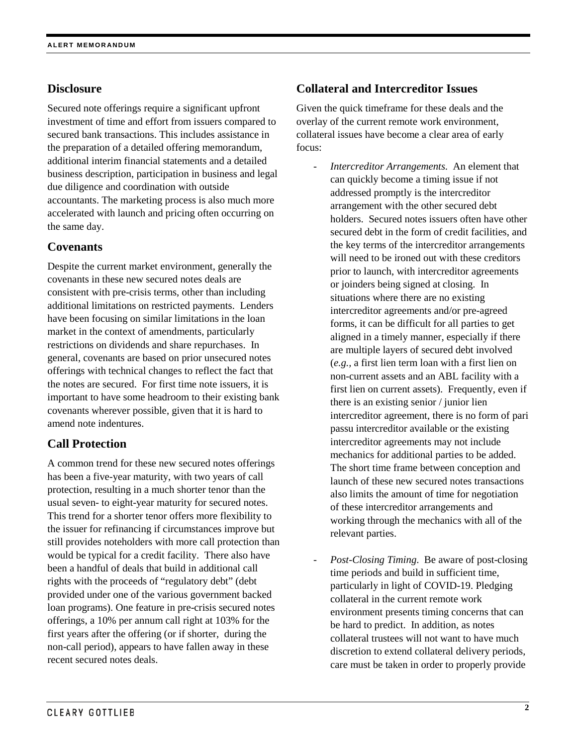# **Disclosure**

Secured note offerings require a significant upfront investment of time and effort from issuers compared to secured bank transactions. This includes assistance in the preparation of a detailed offering memorandum, additional interim financial statements and a detailed business description, participation in business and legal due diligence and coordination with outside accountants. The marketing process is also much more accelerated with launch and pricing often occurring on the same day.

# **Covenants**

Despite the current market environment, generally the covenants in these new secured notes deals are consistent with pre-crisis terms, other than including additional limitations on restricted payments. Lenders have been focusing on similar limitations in the loan market in the context of amendments, particularly restrictions on dividends and share repurchases. In general, covenants are based on prior unsecured notes offerings with technical changes to reflect the fact that the notes are secured. For first time note issuers, it is important to have some headroom to their existing bank covenants wherever possible, given that it is hard to amend note indentures.

# **Call Protection**

A common trend for these new secured notes offerings has been a five-year maturity, with two years of call protection, resulting in a much shorter tenor than the usual seven- to eight-year maturity for secured notes. This trend for a shorter tenor offers more flexibility to the issuer for refinancing if circumstances improve but still provides noteholders with more call protection than would be typical for a credit facility. There also have been a handful of deals that build in additional call rights with the proceeds of "regulatory debt" (debt provided under one of the various government backed loan programs). One feature in pre-crisis secured notes offerings, a 10% per annum call right at 103% for the first years after the offering (or if shorter, during the non-call period), appears to have fallen away in these recent secured notes deals.

# **Collateral and Intercreditor Issues**

Given the quick timeframe for these deals and the overlay of the current remote work environment, collateral issues have become a clear area of early focus:

- *Intercreditor Arrangements*. An element that can quickly become a timing issue if not addressed promptly is the intercreditor arrangement with the other secured debt holders. Secured notes issuers often have other secured debt in the form of credit facilities, and the key terms of the intercreditor arrangements will need to be ironed out with these creditors prior to launch, with intercreditor agreements or joinders being signed at closing. In situations where there are no existing intercreditor agreements and/or pre-agreed forms, it can be difficult for all parties to get aligned in a timely manner, especially if there are multiple layers of secured debt involved (*e.g.,* a first lien term loan with a first lien on non-current assets and an ABL facility with a first lien on current assets). Frequently, even if there is an existing senior / junior lien intercreditor agreement, there is no form of pari passu intercreditor available or the existing intercreditor agreements may not include mechanics for additional parties to be added. The short time frame between conception and launch of these new secured notes transactions also limits the amount of time for negotiation of these intercreditor arrangements and working through the mechanics with all of the relevant parties.
- Post-Closing Timing. Be aware of post-closing time periods and build in sufficient time, particularly in light of COVID-19. Pledging collateral in the current remote work environment presents timing concerns that can be hard to predict. In addition, as notes collateral trustees will not want to have much discretion to extend collateral delivery periods, care must be taken in order to properly provide